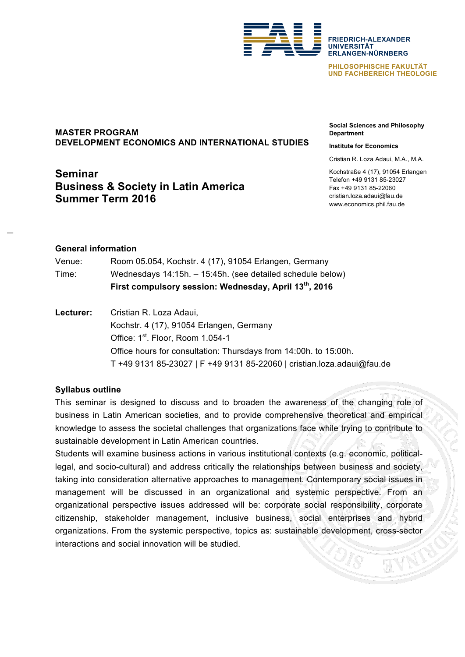

**FRIEDRICH-ALEXANDER UNIVERSITÄT ERLANGEN-NÜRNBERG**

**PHILOSOPHISCHE FAKULTÄT UND FACHBEREICH THEOLOGIE**

# **MASTER PROGRAM DEVELOPMENT ECONOMICS AND INTERNATIONAL STUDIES**

# **Seminar Business & Society in Latin America Summer Term 2016**

**Social Sciences and Philosophy Department**

#### **Institute for Economics**

Cristian R. Loza Adaui, M.A., M.A.

Kochstraße 4 (17), 91054 Erlangen Telefon +49 9131 85-23027 Fax +49 9131 85-22060 cristian.loza.adaui@fau.de www.economics.phil.fau.de

### **General information**

|        | First compulsory session: Wednesday, April 13th, 2016      |
|--------|------------------------------------------------------------|
| Time:  | Wednesdays 14:15h. - 15:45h. (see detailed schedule below) |
| Venue: | Room 05.054, Kochstr. 4 (17), 91054 Erlangen, Germany      |

**Lecturer:** Cristian R. Loza Adaui, Kochstr. 4 (17), 91054 Erlangen, Germany Office: 1st. Floor, Room 1.054-1 Office hours for consultation: Thursdays from 14:00h. to 15:00h. T +49 9131 85-23027 | F +49 9131 85-22060 | cristian.loza.adaui@fau.de

### **Syllabus outline**

This seminar is designed to discuss and to broaden the awareness of the changing role of business in Latin American societies, and to provide comprehensive theoretical and empirical knowledge to assess the societal challenges that organizations face while trying to contribute to sustainable development in Latin American countries.

Students will examine business actions in various institutional contexts (e.g. economic, politicallegal, and socio-cultural) and address critically the relationships between business and society, taking into consideration alternative approaches to management. Contemporary social issues in management will be discussed in an organizational and systemic perspective. From an organizational perspective issues addressed will be: corporate social responsibility, corporate citizenship, stakeholder management, inclusive business, social enterprises and hybrid organizations. From the systemic perspective, topics as: sustainable development, cross-sector interactions and social innovation will be studied.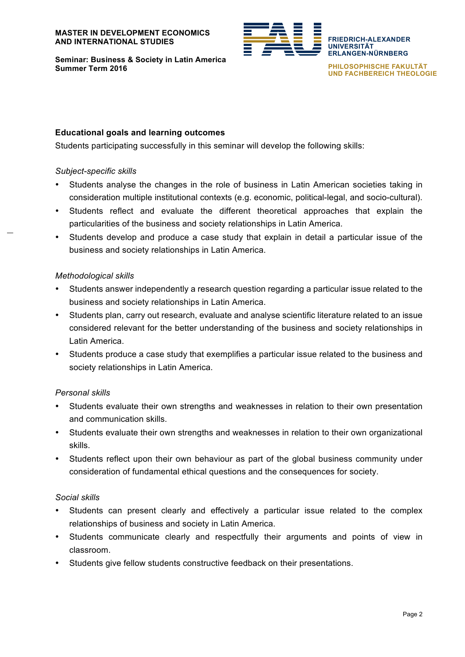

**Seminar: Business & Society in Latin America Summer Term 2016**

**PHILOSOPHISCHE FAKULTÄT UND FACHBEREICH THEOLOGIE**

**FRIEDRICH-ALEXANDER**

**ERLANGEN-NÜRNBERG**

**UNIVERSITÄT**

## **Educational goals and learning outcomes**

Students participating successfully in this seminar will develop the following skills:

#### *Subject-specific skills*

- Students analyse the changes in the role of business in Latin American societies taking in consideration multiple institutional contexts (e.g. economic, political-legal, and socio-cultural).
- Students reflect and evaluate the different theoretical approaches that explain the particularities of the business and society relationships in Latin America.
- Students develop and produce a case study that explain in detail a particular issue of the business and society relationships in Latin America.

### *Methodological skills*

- Students answer independently a research question regarding a particular issue related to the business and society relationships in Latin America.
- Students plan, carry out research, evaluate and analyse scientific literature related to an issue considered relevant for the better understanding of the business and society relationships in Latin America.
- Students produce a case study that exemplifies a particular issue related to the business and society relationships in Latin America.

### *Personal skills*

- Students evaluate their own strengths and weaknesses in relation to their own presentation and communication skills.
- Students evaluate their own strengths and weaknesses in relation to their own organizational skills.
- Students reflect upon their own behaviour as part of the global business community under consideration of fundamental ethical questions and the consequences for society.

### *Social skills*

- Students can present clearly and effectively a particular issue related to the complex relationships of business and society in Latin America.
- Students communicate clearly and respectfully their arguments and points of view in classroom.
- Students give fellow students constructive feedback on their presentations.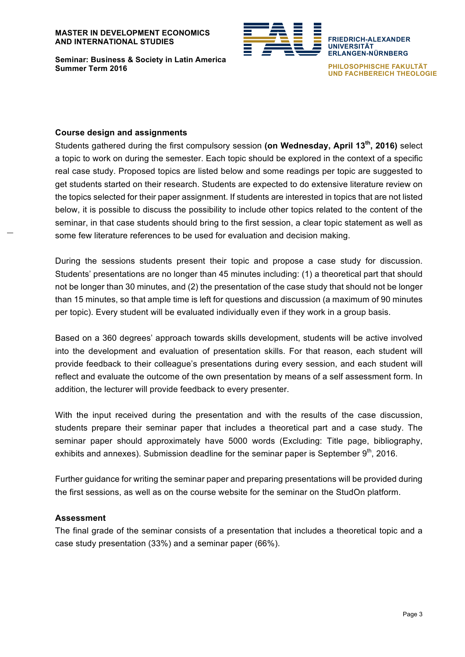

**Seminar: Business & Society in Latin America Summer Term 2016**

**ERLANGEN-NÜRNBERG PHILOSOPHISCHE FAKULTÄT UND FACHBEREICH THEOLOGIE**

**FRIEDRICH-ALEXANDER**

**UNIVERSITÄT**

#### **Course design and assignments**

Students gathered during the first compulsory session **(on Wednesday, April 13th, 2016)** select a topic to work on during the semester. Each topic should be explored in the context of a specific real case study. Proposed topics are listed below and some readings per topic are suggested to get students started on their research. Students are expected to do extensive literature review on the topics selected for their paper assignment. If students are interested in topics that are not listed below, it is possible to discuss the possibility to include other topics related to the content of the seminar, in that case students should bring to the first session, a clear topic statement as well as some few literature references to be used for evaluation and decision making.

During the sessions students present their topic and propose a case study for discussion. Students' presentations are no longer than 45 minutes including: (1) a theoretical part that should not be longer than 30 minutes, and (2) the presentation of the case study that should not be longer than 15 minutes, so that ample time is left for questions and discussion (a maximum of 90 minutes per topic). Every student will be evaluated individually even if they work in a group basis.

Based on a 360 degrees' approach towards skills development, students will be active involved into the development and evaluation of presentation skills. For that reason, each student will provide feedback to their colleague's presentations during every session, and each student will reflect and evaluate the outcome of the own presentation by means of a self assessment form. In addition, the lecturer will provide feedback to every presenter.

With the input received during the presentation and with the results of the case discussion, students prepare their seminar paper that includes a theoretical part and a case study. The seminar paper should approximately have 5000 words (Excluding: Title page, bibliography, exhibits and annexes). Submission deadline for the seminar paper is September  $9<sup>th</sup>$ , 2016.

Further guidance for writing the seminar paper and preparing presentations will be provided during the first sessions, as well as on the course website for the seminar on the StudOn platform.

### **Assessment**

The final grade of the seminar consists of a presentation that includes a theoretical topic and a case study presentation (33%) and a seminar paper (66%).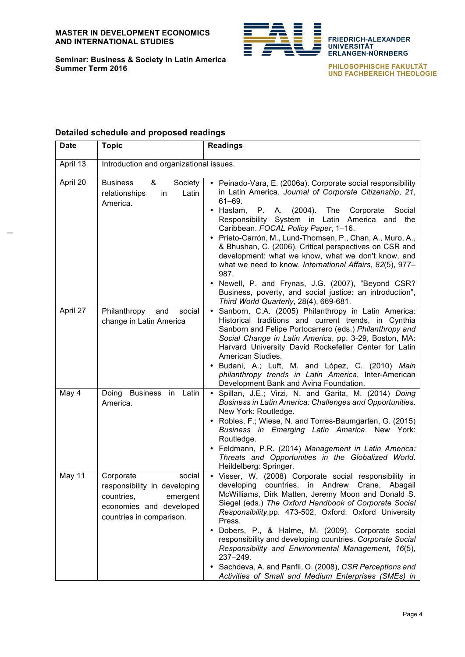

**Seminar: Business & Society in Latin America Summer Term 2016**

**FRIEDRICH-ALEXANDER UNIVERSITÄT ERLANGEN-NÜRNBERG**

**PHILOSOPHISCHE FAKULTÄT UND FACHBEREICH THEOLOGIE**

# **Detailed schedule and proposed readings**

| <b>Date</b> | <b>Topic</b>                                                                                                                         | <b>Readings</b>                                                                                                                                                                                                                                                                                                                                                                                                                                                                                                                                                                                                                                                                                             |
|-------------|--------------------------------------------------------------------------------------------------------------------------------------|-------------------------------------------------------------------------------------------------------------------------------------------------------------------------------------------------------------------------------------------------------------------------------------------------------------------------------------------------------------------------------------------------------------------------------------------------------------------------------------------------------------------------------------------------------------------------------------------------------------------------------------------------------------------------------------------------------------|
| April 13    | Introduction and organizational issues.                                                                                              |                                                                                                                                                                                                                                                                                                                                                                                                                                                                                                                                                                                                                                                                                                             |
| April 20    | <b>Business</b><br>&<br>Society<br>relationships<br>Latin<br>in<br>America.                                                          | • Peinado-Vara, E. (2006a). Corporate social responsibility<br>in Latin America. Journal of Corporate Citizenship, 21,<br>$61 - 69.$<br>• Haslam,<br>P.<br>A. (2004).<br>The<br>Corporate<br>Social<br>Responsibility System in Latin America and the<br>Caribbean. FOCAL Policy Paper, 1-16.<br>· Prieto-Carrón, M., Lund-Thomsen, P., Chan, A., Muro, A.,<br>& Bhushan, C. (2006). Critical perspectives on CSR and<br>development: what we know, what we don't know, and<br>what we need to know. International Affairs, 82(5), 977-<br>987.<br>• Newell, P. and Frynas, J.G. (2007), "Beyond CSR?<br>Business, poverty, and social justice: an introduction",<br>Third World Quarterly, 28(4), 669-681. |
| April 27    | Philanthropy<br>social<br>and<br>change in Latin America                                                                             | Sanborn, C.A. (2005) Philanthropy in Latin America:<br>Historical traditions and current trends, in Cynthia<br>Sanborn and Felipe Portocarrero (eds.) Philanthropy and<br>Social Change in Latin America, pp. 3-29, Boston, MA:<br>Harvard University David Rockefeller Center for Latin<br>American Studies.<br>Budani, A.; Luft, M. and López, C. (2010) Main<br>philanthropy trends in Latin America, Inter-American<br>Development Bank and Avina Foundation.                                                                                                                                                                                                                                           |
| May 4       | Business in Latin<br>Doing<br>America.                                                                                               | Spillan, J.E.; Virzi, N. and Garita, M. (2014) Doing<br>$\bullet$<br>Business in Latin America: Challenges and Opportunities.<br>New York: Routledge.<br>• Robles, F.; Wiese, N. and Torres-Baumgarten, G. (2015)<br>Business in Emerging Latin America. New York:<br>Routledge.<br>• Feldmann, P.R. (2014) Management in Latin America:<br>Threats and Opportunities in the Globalized World.<br>Heildelberg: Springer.                                                                                                                                                                                                                                                                                    |
| May 11      | Corporate<br>social<br>responsibility in developing<br>countries,<br>emergent<br>economies and developed<br>countries in comparison. | Visser, W. (2008) Corporate social responsibility in<br>developing countries, in Andrew<br>Crane, Abagail<br>McWilliams, Dirk Matten, Jeremy Moon and Donald S.<br>Siegel (eds.) The Oxford Handbook of Corporate Social<br>Responsibility, pp. 473-502, Oxford: Oxford University<br>Press.<br>Dobers, P., & Halme, M. (2009). Corporate social<br>responsibility and developing countries. Corporate Social<br>Responsibility and Environmental Management, 16(5),<br>237-249.<br>Sachdeva, A. and Panfil, O. (2008), CSR Perceptions and<br>٠<br>Activities of Small and Medium Enterprises (SMEs) in                                                                                                    |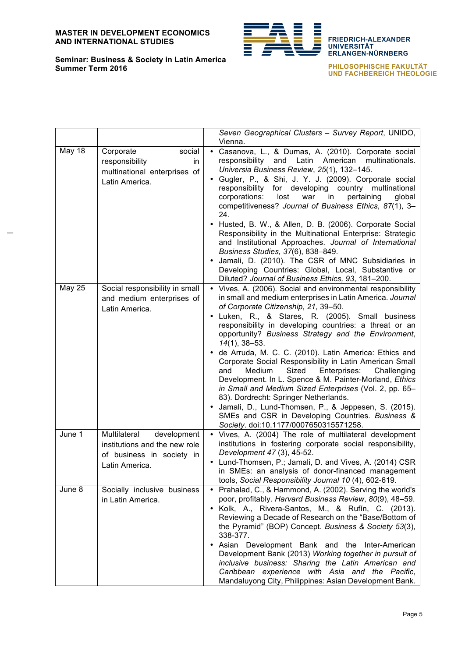

**FRIEDRICH-ALEXANDER UNIVERSITÄT ERLANGEN-NÜRNBERG**

**PHILOSOPHISCHE FAKULTÄT UND FACHBEREICH THEOLOGIE**

|               |                                                                                                             | Seven Geographical Clusters - Survey Report, UNIDO,<br>Vienna.                                                                                                                                                                                                                                                                                                                                                                                                                                                                                                                                                                                                                                                                                                                                                                                                |
|---------------|-------------------------------------------------------------------------------------------------------------|---------------------------------------------------------------------------------------------------------------------------------------------------------------------------------------------------------------------------------------------------------------------------------------------------------------------------------------------------------------------------------------------------------------------------------------------------------------------------------------------------------------------------------------------------------------------------------------------------------------------------------------------------------------------------------------------------------------------------------------------------------------------------------------------------------------------------------------------------------------|
| May 18        | social<br>Corporate<br>responsibility<br>in.<br>multinational enterprises of<br>Latin America.              | Casanova, L., & Dumas, A. (2010). Corporate social<br>$\bullet$<br>responsibility and Latin American<br>multinationals.<br>Universia Business Review, 25(1), 132-145.<br>· Gugler, P., & Shi, J. Y. J. (2009). Corporate social<br>responsibility for developing country multinational<br>corporations:<br>lost<br>pertaining<br>war<br>in<br>global<br>competitiveness? Journal of Business Ethics, 87(1), 3-<br>24.<br>• Husted, B. W., & Allen, D. B. (2006). Corporate Social<br>Responsibility in the Multinational Enterprise: Strategic<br>and Institutional Approaches. Journal of International<br>Business Studies, 37(6), 838-849.<br>Jamali, D. (2010). The CSR of MNC Subsidiaries in<br>Developing Countries: Global, Local, Substantive or<br>Diluted? Journal of Business Ethics, 93, 181-200.                                                |
| <b>May 25</b> | Social responsibility in small<br>and medium enterprises of<br>Latin America.                               | • Vives, A. (2006). Social and environmental responsibility<br>in small and medium enterprises in Latin America. Journal<br>of Corporate Citizenship, 21, 39-50.<br>• Luken, R., & Stares, R. (2005). Small business<br>responsibility in developing countries: a threat or an<br>opportunity? Business Strategy and the Environment,<br>$14(1)$ , 38-53.<br>• de Arruda, M. C. C. (2010). Latin America: Ethics and<br>Corporate Social Responsibility in Latin American Small<br>Sized<br>Enterprises:<br>and<br>Medium<br>Challenging<br>Development. In L. Spence & M. Painter-Morland, Ethics<br>in Small and Medium Sized Enterprises (Vol. 2, pp. 65-<br>83). Dordrecht: Springer Netherlands.<br>• Jamali, D., Lund-Thomsen, P., & Jeppesen, S. (2015).<br>SMEs and CSR in Developing Countries. Business &<br>Society. doi:10.1177/0007650315571258. |
| June 1        | Multilateral<br>development<br>institutions and the new role<br>of business in society in<br>Latin America. | • Vives, A. (2004) The role of multilateral development<br>institutions in fostering corporate social responsibility,<br>Development 47 (3), 45-52.<br>• Lund-Thomsen, P.; Jamali, D. and Vives, A. (2014) CSR<br>in SMEs: an analysis of donor-financed management<br>tools, Social Responsibility Journal 10 (4), 602-619.                                                                                                                                                                                                                                                                                                                                                                                                                                                                                                                                  |
| June 8        | Socially inclusive business<br>in Latin America.                                                            | • Prahalad, C., & Hammond, A. (2002). Serving the world's<br>poor, profitably. Harvard Business Review, 80(9), 48-59.<br>• Kolk, A., Rivera-Santos, M., & Rufín, C. (2013).<br>Reviewing a Decade of Research on the "Base/Bottom of<br>the Pyramid" (BOP) Concept. Business & Society 53(3),<br>338-377.<br>• Asian Development Bank and the Inter-American<br>Development Bank (2013) Working together in pursuit of<br>inclusive business: Sharing the Latin American and<br>Caribbean experience with Asia and the Pacific,<br>Mandaluyong City, Philippines: Asian Development Bank.                                                                                                                                                                                                                                                                     |

#### **Seminar: Business & Society in Latin America Summer Term 2016**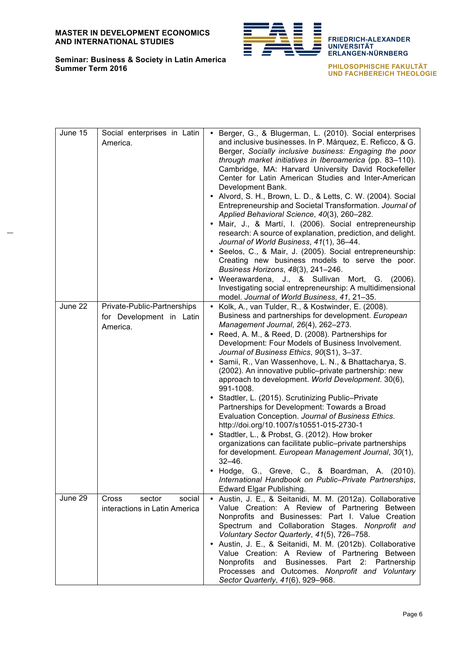**Seminar: Business & Society in Latin America**



**FRIEDRICH-ALEXANDER UNIVERSITÄT ERLANGEN-NÜRNBERG**

**PHILOSOPHISCHE FAKULTÄT UND FACHBEREICH THEOLOGIE**

| June 15 | Social enterprises in Latin<br>America.                             | Berger, G., & Blugerman, L. (2010). Social enterprises<br>$\bullet$<br>and inclusive businesses. In P. Márquez, E. Reficco, & G.<br>Berger, Socially inclusive business: Engaging the poor<br>through market initiatives in Iberoamerica (pp. 83-110).<br>Cambridge, MA: Harvard University David Rockefeller<br>Center for Latin American Studies and Inter-American<br>Development Bank.<br>• Alvord, S. H., Brown, L. D., & Letts, C. W. (2004). Social<br>Entrepreneurship and Societal Transformation. Journal of<br>Applied Behavioral Science, 40(3), 260-282.<br>· Mair, J., & Martí, I. (2006). Social entrepreneurship<br>research: A source of explanation, prediction, and delight.<br>Journal of World Business, 41(1), 36-44.<br>• Seelos, C., & Mair, J. (2005). Social entrepreneurship:                                                                                                                                                                                                                             |
|---------|---------------------------------------------------------------------|--------------------------------------------------------------------------------------------------------------------------------------------------------------------------------------------------------------------------------------------------------------------------------------------------------------------------------------------------------------------------------------------------------------------------------------------------------------------------------------------------------------------------------------------------------------------------------------------------------------------------------------------------------------------------------------------------------------------------------------------------------------------------------------------------------------------------------------------------------------------------------------------------------------------------------------------------------------------------------------------------------------------------------------|
|         |                                                                     | Creating new business models to serve the poor.<br>Business Horizons, 48(3), 241-246.<br>• Weerawardena, J., & Sullivan Mort, G. (2006).<br>Investigating social entrepreneurship: A multidimensional<br>model. Journal of World Business, 41, 21-35.                                                                                                                                                                                                                                                                                                                                                                                                                                                                                                                                                                                                                                                                                                                                                                                |
| June 22 | Private-Public-Partnerships<br>for Development in Latin<br>America. | • Kolk, A., van Tulder, R., & Kostwinder, E. (2008).<br>Business and partnerships for development. European<br>Management Journal, 26(4), 262-273.<br>• Reed, A. M., & Reed, D. (2008). Partnerships for<br>Development: Four Models of Business Involvement.<br>Journal of Business Ethics, 90(S1), 3-37.<br>· Samii, R., Van Wassenhove, L. N., & Bhattacharya, S.<br>(2002). An innovative public-private partnership: new<br>approach to development. World Development. 30(6),<br>991-1008.<br>• Stadtler, L. (2015). Scrutinizing Public-Private<br>Partnerships for Development: Towards a Broad<br>Evaluation Conception. Journal of Business Ethics.<br>http://doi.org/10.1007/s10551-015-2730-1<br>• Stadtler, L., & Probst, G. (2012). How broker<br>organizations can facilitate public-private partnerships<br>for development. European Management Journal, 30(1),<br>$32 - 46.$<br>Hodge, G., Greve, C., & Boardman, A. (2010).<br>International Handbook on Public-Private Partnerships,<br>Edward Elgar Publishing. |
| June 29 | Cross<br>sector<br>social<br>interactions in Latin America          | Austin, J. E., & Seitanidi, M. M. (2012a). Collaborative<br>Value Creation: A Review of Partnering Between<br>Nonprofits and Businesses: Part I. Value Creation<br>Spectrum and Collaboration Stages. Nonprofit and<br>Voluntary Sector Quarterly, 41(5), 726-758.<br>• Austin, J. E., & Seitanidi, M. M. (2012b). Collaborative<br>Value Creation: A Review of Partnering Between<br>Nonprofits<br>and Businesses.<br>Part 2: Partnership<br>Processes and Outcomes. Nonprofit and Voluntary<br>Sector Quarterly, 41(6), 929-968.                                                                                                                                                                                                                                                                                                                                                                                                                                                                                                   |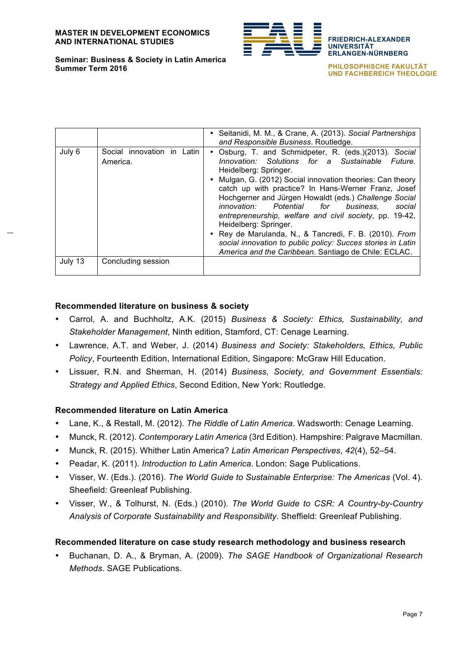

**Seminar: Business & Society in Latin America Summer Term 2016**

**ERLANGEN-NÜRNBERG PHILOSOPHISCHE FAKULTÄT UND FACHBEREICH THEOLOGIE**

**FRIEDRICH-ALEXANDER**

**UNIVERSITÄT**

• Seitanidi, M. M., & Crane, A. (2013). *Social Partnerships and Responsible Business*. Routledge. July 6 | Social innovation in Latin America. • Osburg, T. and Schmidpeter, R. (eds.)(2013). *Social Innovation: Solutions for a Sustainable Future*. Heidelberg: Springer. • Mulgan, G. (2012) Social innovation theories: Can theory catch up with practice? In Hans-Werner Franz, Josef Hochgerner and Jürgen Howaldt (eds.) *Challenge Social innovation: Potential for business, social entrepreneurship, welfare and civil society*, pp. 19-42, Heidelberg: Springer. • Rey de Marulanda, N., & Tancredi, F. B. (2010). *From social innovation to public policy: Succes stories in Latin America and the Caribbean*. Santiago de Chile: ECLAC. July 13 Concluding session

### **Recommended literature on business & society**

- Carrol, A. and Buchholtz, A.K. (2015) *Business & Society: Ethics, Sustainability, and Stakeholder Management*, Ninth edition, Stamford, CT: Cenage Learning.
- Lawrence, A.T. and Weber, J. (2014) *Business and Society: Stakeholders, Ethics, Public Policy*, Fourteenth Edition, International Edition, Singapore: McGraw Hill Education.
- Lissuer, R.N. and Sherman, H. (2014) *Business, Society, and Government Essentials: Strategy and Applied Ethics*, Second Edition, New York: Routledge.

### **Recommended literature on Latin America**

- Lane, K., & Restall, M. (2012). *The Riddle of Latin America*. Wadsworth: Cenage Learning.
- Munck, R. (2012). *Contemporary Latin America* (3rd Edition). Hampshire: Palgrave Macmillan.
- Munck, R. (2015). Whither Latin America? *Latin American Perspectives*, *42*(4), 52–54.
- Peadar, K. (2011). *Introduction to Latin America*. London: Sage Publications.
- Visser, W. (Eds.). (2016). *The World Guide to Sustainable Enterprise: The Americas* (Vol. 4). Sheefield: Greenleaf Publishing.
- Visser, W., & Tolhurst, N. (Eds.) (2010). *The World Guide to CSR: A Country-by-Country Analysis of Corporate Sustainability and Responsibility*. Sheffield: Greenleaf Publishing.

#### **Recommended literature on case study research methodology and business research**

• Buchanan, D. A., & Bryman, A. (2009). *The SAGE Handbook of Organizational Research Methods*. SAGE Publications.